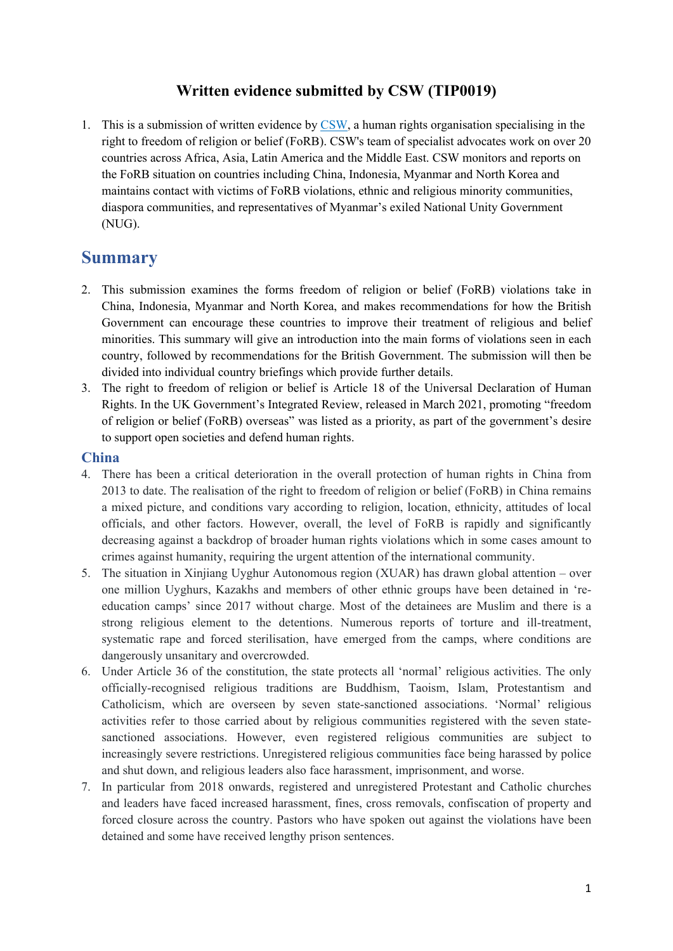## **Written evidence submitted by CSW (TIP0019)**

1. This is a submission of written evidence by [CSW,](https://www.csw.org.uk/about.htm) a human rights organisation specialising in the right to freedom of religion or belief (FoRB). CSW's team of specialist advocates work on over 20 countries across Africa, Asia, Latin America and the Middle East. CSW monitors and reports on the FoRB situation on countries including China, Indonesia, Myanmar and North Korea and maintains contact with victims of FoRB violations, ethnic and religious minority communities, diaspora communities, and representatives of Myanmar's exiled National Unity Government (NUG).

# **Summary**

- 2. This submission examines the forms freedom of religion or belief (FoRB) violations take in China, Indonesia, Myanmar and North Korea, and makes recommendations for how the British Government can encourage these countries to improve their treatment of religious and belief minorities. This summary will give an introduction into the main forms of violations seen in each country, followed by recommendations for the British Government. The submission will then be divided into individual country briefings which provide further details.
- 3. The right to freedom of religion or belief is Article 18 of the Universal Declaration of Human Rights. In the UK Government's Integrated Review, released in March 2021, promoting "freedom of religion or belief (FoRB) overseas" was listed as a priority, as part of the government's desire to support open societies and defend human rights.

#### **China**

- 4. There has been a critical deterioration in the overall protection of human rights in China from 2013 to date. The realisation of the right to freedom of religion or belief (FoRB) in China remains a mixed picture, and conditions vary according to religion, location, ethnicity, attitudes of local officials, and other factors. However, overall, the level of FoRB is rapidly and significantly decreasing against a backdrop of broader human rights violations which in some cases amount to crimes against humanity, requiring the urgent attention of the international community.
- 5. The situation in Xinjiang Uyghur Autonomous region (XUAR) has drawn global attention over one million Uyghurs, Kazakhs and members of other ethnic groups have been detained in 'reeducation camps' since 2017 without charge. Most of the detainees are Muslim and there is a strong religious element to the detentions. Numerous reports of torture and ill-treatment, systematic rape and forced sterilisation, have emerged from the camps, where conditions are dangerously unsanitary and overcrowded.
- 6. Under Article 36 of the constitution, the state protects all 'normal' religious activities. The only officially-recognised religious traditions are Buddhism, Taoism, Islam, Protestantism and Catholicism, which are overseen by seven state-sanctioned associations. 'Normal' religious activities refer to those carried about by religious communities registered with the seven statesanctioned associations. However, even registered religious communities are subject to increasingly severe restrictions. Unregistered religious communities face being harassed by police and shut down, and religious leaders also face harassment, imprisonment, and worse.
- 7. In particular from 2018 onwards, registered and unregistered Protestant and Catholic churches and leaders have faced increased harassment, fines, cross removals, confiscation of property and forced closure across the country. Pastors who have spoken out against the violations have been detained and some have received lengthy prison sentences.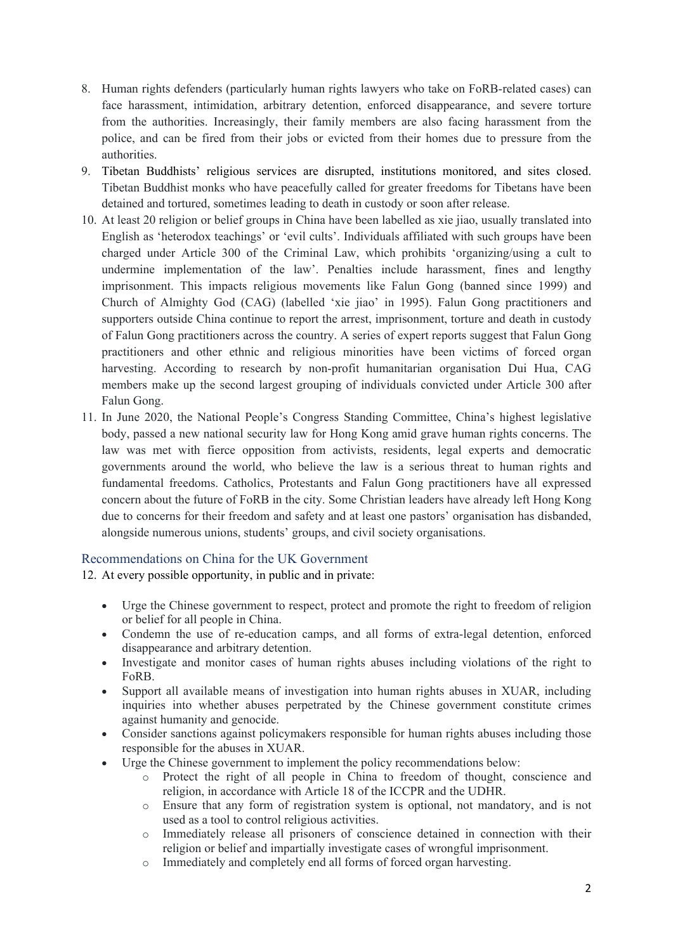- 8. Human rights defenders (particularly human rights lawyers who take on FoRB-related cases) can face harassment, intimidation, arbitrary detention, enforced disappearance, and severe torture from the authorities. Increasingly, their family members are also facing harassment from the police, and can be fired from their jobs or evicted from their homes due to pressure from the authorities.
- 9. Tibetan Buddhists' religious services are disrupted, institutions monitored, and sites closed. Tibetan Buddhist monks who have peacefully called for greater freedoms for Tibetans have been detained and tortured, sometimes leading to death in custody or soon after release.
- 10. At least 20 religion or belief groups in China have been labelled as xie jiao, usually translated into English as 'heterodox teachings' or 'evil cults'. Individuals affiliated with such groups have been charged under Article 300 of the Criminal Law, which prohibits 'organizing/using a cult to undermine implementation of the law'. Penalties include harassment, fines and lengthy imprisonment. This impacts religious movements like Falun Gong (banned since 1999) and Church of Almighty God (CAG) (labelled 'xie jiao' in 1995). Falun Gong practitioners and supporters outside China continue to report the arrest, imprisonment, torture and death in custody of Falun Gong practitioners across the country. A series of expert reports suggest that Falun Gong practitioners and other ethnic and religious minorities have been victims of forced organ harvesting. According to research by non-profit humanitarian organisation Dui Hua, CAG members make up the second largest grouping of individuals convicted under Article 300 after Falun Gong.
- 11. In June 2020, the National People's Congress Standing Committee, China's highest legislative body, passed a new national security law for Hong Kong amid grave human rights concerns. The law was met with fierce opposition from activists, residents, legal experts and democratic governments around the world, who believe the law is a serious threat to human rights and fundamental freedoms. Catholics, Protestants and Falun Gong practitioners have all expressed concern about the future of FoRB in the city. Some Christian leaders have already left Hong Kong due to concerns for their freedom and safety and at least one pastors' organisation has disbanded, alongside numerous unions, students' groups, and civil society organisations.

#### Recommendations on China for the UK Government

12. At every possible opportunity, in public and in private:

- Urge the Chinese government to respect, protect and promote the right to freedom of religion or belief for all people in China.
- Condemn the use of re-education camps, and all forms of extra-legal detention, enforced disappearance and arbitrary detention.
- Investigate and monitor cases of human rights abuses including violations of the right to FoRB.
- Support all available means of investigation into human rights abuses in XUAR, including inquiries into whether abuses perpetrated by the Chinese government constitute crimes against humanity and genocide.
- Consider sanctions against policymakers responsible for human rights abuses including those responsible for the abuses in XUAR.
- Urge the Chinese government to implement the policy recommendations below:
	- o Protect the right of all people in China to freedom of thought, conscience and religion, in accordance with Article 18 of the ICCPR and the UDHR.
	- o Ensure that any form of registration system is optional, not mandatory, and is not used as a tool to control religious activities.
	- o Immediately release all prisoners of conscience detained in connection with their religion or belief and impartially investigate cases of wrongful imprisonment.
	- o Immediately and completely end all forms of forced organ harvesting.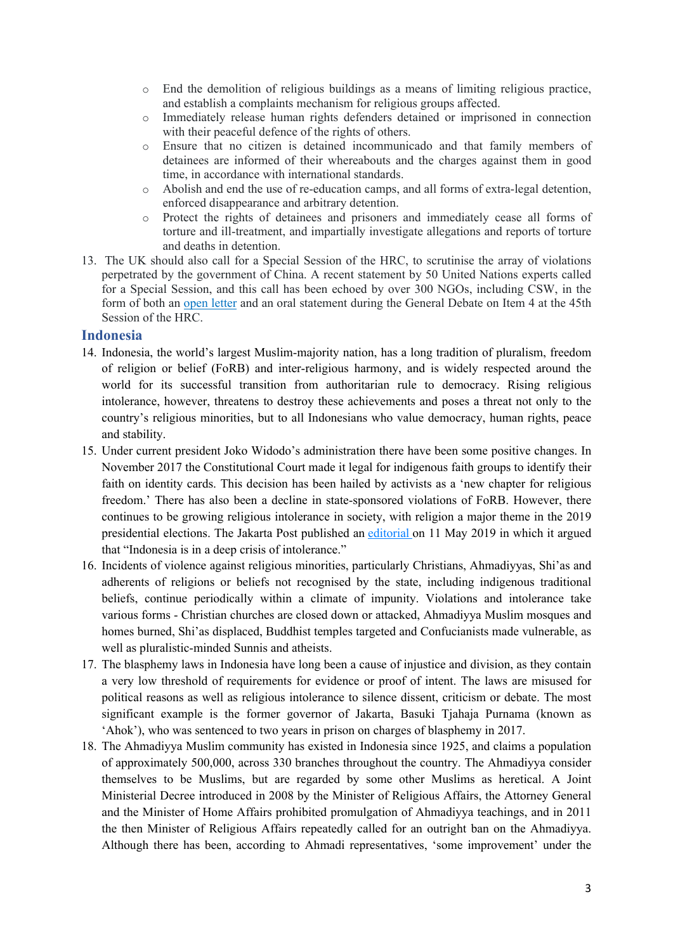- o End the demolition of religious buildings as a means of limiting religious practice, and establish a complaints mechanism for religious groups affected.
- o Immediately release human rights defenders detained or imprisoned in connection with their peaceful defence of the rights of others.
- o Ensure that no citizen is detained incommunicado and that family members of detainees are informed of their whereabouts and the charges against them in good time, in accordance with international standards.
- o Abolish and end the use of re-education camps, and all forms of extra-legal detention, enforced disappearance and arbitrary detention.
- o Protect the rights of detainees and prisoners and immediately cease all forms of torture and ill-treatment, and impartially investigate allegations and reports of torture and deaths in detention.
- 13. The UK should also call for a Special Session of the HRC, to scrutinise the array of violations perpetrated by the government of China. A recent statement by 50 United Nations experts called for a Special Session, and this call has been echoed by over 300 NGOs, including CSW, in the form of both an [open](file:///C:/Users/Marguerite/AppData/Local/Microsoft/Windows/INetCache/Content.Outlook/Z5SGH9O1/1.%09https:/www.hrw.org/news/2020/09/09/global-call-international-human-rights-monitoring-mechanisms-china) [letter](file:///C:/Users/Marguerite/AppData/Local/Microsoft/Windows/INetCache/Content.Outlook/Z5SGH9O1/1.%09https:/www.hrw.org/news/2020/09/09/global-call-international-human-rights-monitoring-mechanisms-china) and an oral statement during the General Debate on Item 4 at the 45th Session of the HRC.

#### **Indonesia**

- 14. Indonesia, the world's largest Muslim-majority nation, has a long tradition of pluralism, freedom of religion or belief (FoRB) and inter-religious harmony, and is widely respected around the world for its successful transition from authoritarian rule to democracy. Rising religious intolerance, however, threatens to destroy these achievements and poses a threat not only to the country's religious minorities, but to all Indonesians who value democracy, human rights, peace and stability.
- 15. Under current president Joko Widodo's administration there have been some positive changes. In November 2017 the Constitutional Court made it legal for indigenous faith groups to identify their faith on identity cards. This decision has been hailed by activists as a 'new chapter for religious freedom.' There has also been a decline in state-sponsored violations of FoRB. However, there continues to be growing religious intolerance in society, with religion a major theme in the 2019 presidential elections. The Jakarta Post published an [editorial](https://www.thejakartapost.com/academia/2019/05/11/intolerance-crisis.html) on 11 May 2019 in which it argued that "Indonesia is in a deep crisis of intolerance."
- 16. Incidents of violence against religious minorities, particularly Christians, Ahmadiyyas, Shi'as and adherents of religions or beliefs not recognised by the state, including indigenous traditional beliefs, continue periodically within a climate of impunity. Violations and intolerance take various forms - Christian churches are closed down or attacked, Ahmadiyya Muslim mosques and homes burned, Shi'as displaced, Buddhist temples targeted and Confucianists made vulnerable, as well as pluralistic-minded Sunnis and atheists.
- 17. The blasphemy laws in Indonesia have long been a cause of injustice and division, as they contain a very low threshold of requirements for evidence or proof of intent. The laws are misused for political reasons as well as religious intolerance to silence dissent, criticism or debate. The most significant example is the former governor of Jakarta, Basuki Tjahaja Purnama (known as 'Ahok'), who was sentenced to two years in prison on charges of blasphemy in 2017.
- 18. The Ahmadiyya Muslim community has existed in Indonesia since 1925, and claims a population of approximately 500,000, across 330 branches throughout the country. The Ahmadiyya consider themselves to be Muslims, but are regarded by some other Muslims as heretical. A Joint Ministerial Decree introduced in 2008 by the Minister of Religious Affairs, the Attorney General and the Minister of Home Affairs prohibited promulgation of Ahmadiyya teachings, and in 2011 the then Minister of Religious Affairs repeatedly called for an outright ban on the Ahmadiyya. Although there has been, according to Ahmadi representatives, 'some improvement' under the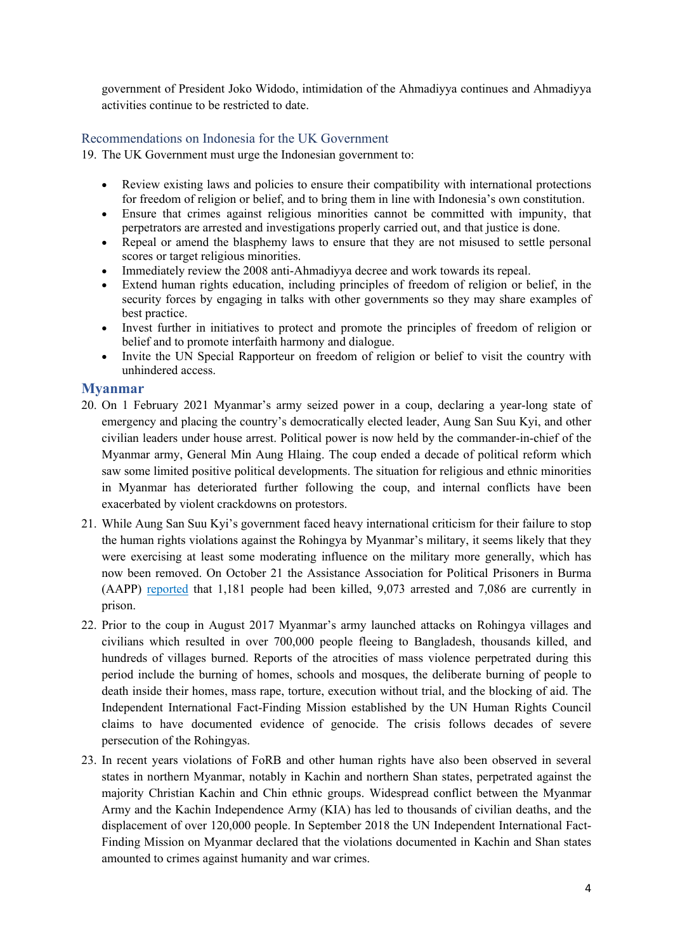government of President Joko Widodo, intimidation of the Ahmadiyya continues and Ahmadiyya activities continue to be restricted to date.

### Recommendations on Indonesia for the UK Government

19. The UK Government must urge the Indonesian government to:

- Review existing laws and policies to ensure their compatibility with international protections for freedom of religion or belief, and to bring them in line with Indonesia's own constitution.
- Ensure that crimes against religious minorities cannot be committed with impunity, that perpetrators are arrested and investigations properly carried out, and that justice is done.
- Repeal or amend the blasphemy laws to ensure that they are not misused to settle personal scores or target religious minorities.
- Immediately review the 2008 anti-Ahmadiyya decree and work towards its repeal.
- Extend human rights education, including principles of freedom of religion or belief, in the security forces by engaging in talks with other governments so they may share examples of best practice.
- Invest further in initiatives to protect and promote the principles of freedom of religion or belief and to promote interfaith harmony and dialogue.
- Invite the UN Special Rapporteur on freedom of religion or belief to visit the country with unhindered access.

### **Myanmar**

- 20. On 1 February 2021 Myanmar's army seized power in a coup, declaring a year-long state of emergency and placing the country's democratically elected leader, Aung San Suu Kyi, and other civilian leaders under house arrest. Political power is now held by the commander-in-chief of the Myanmar army, General Min Aung Hlaing. The coup ended a decade of political reform which saw some limited positive political developments. The situation for religious and ethnic minorities in Myanmar has deteriorated further following the coup, and internal conflicts have been exacerbated by violent crackdowns on protestors.
- 21. While Aung San Suu Kyi's government faced heavy international criticism for their failure to stop the human rights violations against the Rohingya by Myanmar's military, it seems likely that they were exercising at least some moderating influence on the military more generally, which has now been removed. On October 21 the Assistance Association for Political Prisoners in Burma (AAPP) [reported](https://twitter.com/aapp_burma/status/1450816509182312449) that 1,181 people had been killed, 9,073 arrested and 7,086 are currently in prison.
- 22. Prior to the coup in August 2017 Myanmar's army launched attacks on Rohingya villages and civilians which resulted in over 700,000 people fleeing to Bangladesh, thousands killed, and hundreds of villages burned. Reports of the atrocities of mass violence perpetrated during this period include the burning of homes, schools and mosques, the deliberate burning of people to death inside their homes, mass rape, torture, execution without trial, and the blocking of aid. The Independent International Fact-Finding Mission established by the UN Human Rights Council claims to have documented evidence of genocide. The crisis follows decades of severe persecution of the Rohingyas.
- 23. In recent years violations of FoRB and other human rights have also been observed in several states in northern Myanmar, notably in Kachin and northern Shan states, perpetrated against the majority Christian Kachin and Chin ethnic groups. Widespread conflict between the Myanmar Army and the Kachin Independence Army (KIA) has led to thousands of civilian deaths, and the displacement of over 120,000 people. In September 2018 the UN Independent International Fact-Finding Mission on Myanmar declared that the violations documented in Kachin and Shan states amounted to crimes against humanity and war crimes.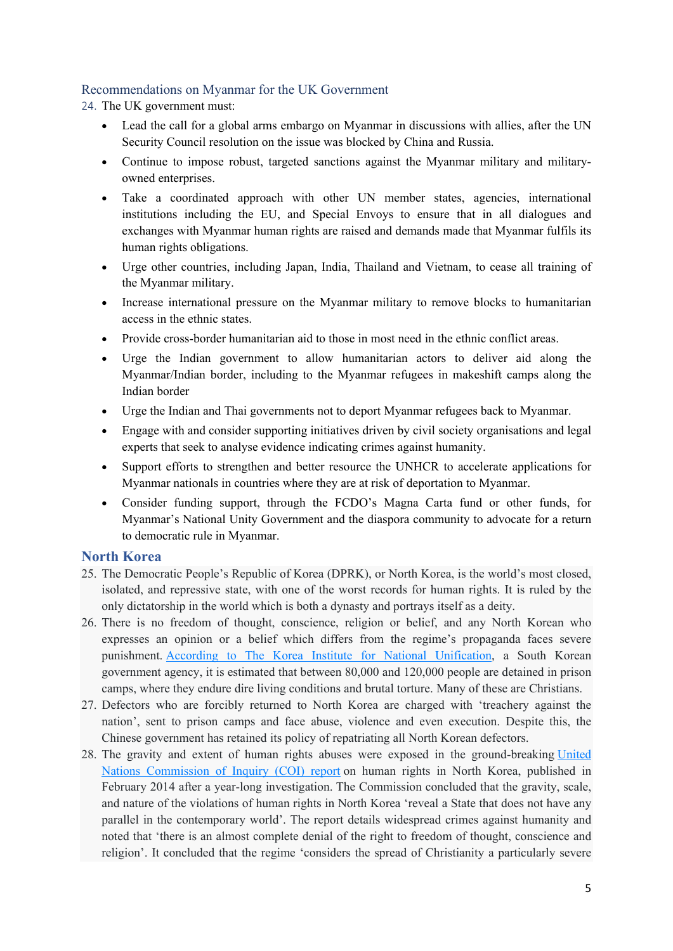#### Recommendations on Myanmar for the UK Government

24. The UK government must:

- Lead the call for a global arms embargo on Myanmar in discussions with allies, after the UN Security Council resolution on the issue was blocked by China and Russia.
- Continue to impose robust, targeted sanctions against the Myanmar military and militaryowned enterprises.
- Take a coordinated approach with other UN member states, agencies, international institutions including the EU, and Special Envoys to ensure that in all dialogues and exchanges with Myanmar human rights are raised and demands made that Myanmar fulfils its human rights obligations.
- Urge other countries, including Japan, India, Thailand and Vietnam, to cease all training of the Myanmar military.
- Increase international pressure on the Myanmar military to remove blocks to humanitarian access in the ethnic states.
- Provide cross-border humanitarian aid to those in most need in the ethnic conflict areas.
- Urge the Indian government to allow humanitarian actors to deliver aid along the Myanmar/Indian border, including to the Myanmar refugees in makeshift camps along the Indian border
- Urge the Indian and Thai governments not to deport Myanmar refugees back to Myanmar.
- Engage with and consider supporting initiatives driven by civil society organisations and legal experts that seek to analyse evidence indicating crimes against humanity.
- Support efforts to strengthen and better resource the UNHCR to accelerate applications for Myanmar nationals in countries where they are at risk of deportation to Myanmar.
- Consider funding support, through the FCDO's Magna Carta fund or other funds, for Myanmar's National Unity Government and the diaspora community to advocate for a return to democratic rule in Myanmar.

#### **North Korea**

- 25. The Democratic People's Republic of Korea (DPRK), or North Korea, is the world's most closed, isolated, and repressive state, with one of the worst records for human rights. It is ruled by the only dictatorship in the world which is both a dynasty and portrays itself as a deity.
- 26. There is no freedom of thought, conscience, religion or belief, and any North Korean who expresses an opinion or a belief which differs from the regime's propaganda faces severe punishment. [According](https://www.bbc.co.uk/news/world-asia-44069749) [to](https://www.bbc.co.uk/news/world-asia-44069749) [The](https://www.bbc.co.uk/news/world-asia-44069749) [Korea](https://www.bbc.co.uk/news/world-asia-44069749) [Institute](https://www.bbc.co.uk/news/world-asia-44069749) [for](https://www.bbc.co.uk/news/world-asia-44069749) [National](https://www.bbc.co.uk/news/world-asia-44069749) [Unification](https://www.bbc.co.uk/news/world-asia-44069749), a South Korean government agency, it is estimated that between 80,000 and 120,000 people are detained in prison camps, where they endure dire living conditions and brutal torture. Many of these are Christians.
- 27. Defectors who are forcibly returned to North Korea are charged with 'treachery against the nation', sent to prison camps and face abuse, violence and even execution. Despite this, the Chinese government has retained its policy of repatriating all North Korean defectors.
- 28. The gravity and extent of human rights abuses were exposed in the ground-breaking [United](https://www.ohchr.org/en/hrbodies/hrc/coidprk/pages/reportofthecommissionofinquirydprk.aspx) [Nations](https://www.ohchr.org/en/hrbodies/hrc/coidprk/pages/reportofthecommissionofinquirydprk.aspx) [Commission](https://www.ohchr.org/en/hrbodies/hrc/coidprk/pages/reportofthecommissionofinquirydprk.aspx) [of](https://www.ohchr.org/en/hrbodies/hrc/coidprk/pages/reportofthecommissionofinquirydprk.aspx) [Inquiry](https://www.ohchr.org/en/hrbodies/hrc/coidprk/pages/reportofthecommissionofinquirydprk.aspx) [\(COI\)](https://www.ohchr.org/en/hrbodies/hrc/coidprk/pages/reportofthecommissionofinquirydprk.aspx) [report](https://www.ohchr.org/en/hrbodies/hrc/coidprk/pages/reportofthecommissionofinquirydprk.aspx) on human rights in North Korea, published in February 2014 after a year-long investigation. The Commission concluded that the gravity, scale, and nature of the violations of human rights in North Korea 'reveal a State that does not have any parallel in the contemporary world'. The report details widespread crimes against humanity and noted that 'there is an almost complete denial of the right to freedom of thought, conscience and religion'. It concluded that the regime 'considers the spread of Christianity a particularly severe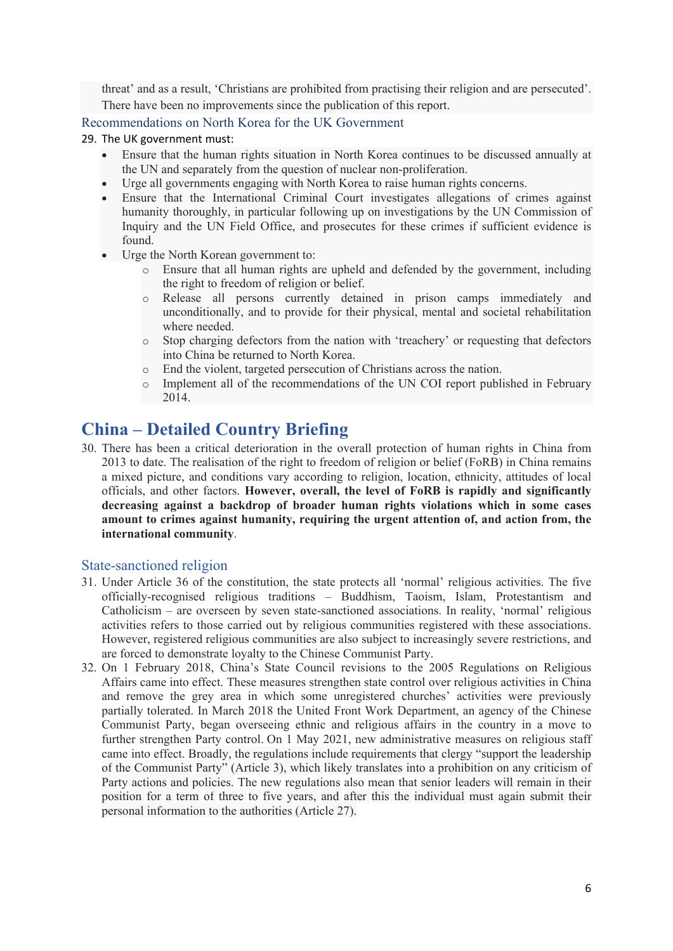threat' and as a result, 'Christians are prohibited from practising their religion and are persecuted'. There have been no improvements since the publication of this report.

#### Recommendations on North Korea for the UK Government

#### 29. The UK government must:

- Ensure that the human rights situation in North Korea continues to be discussed annually at the UN and separately from the question of nuclear non-proliferation.
- Urge all governments engaging with North Korea to raise human rights concerns.
- Ensure that the International Criminal Court investigates allegations of crimes against humanity thoroughly, in particular following up on investigations by the UN Commission of Inquiry and the UN Field Office, and prosecutes for these crimes if sufficient evidence is found.
- Urge the North Korean government to:
	- o Ensure that all human rights are upheld and defended by the government, including the right to freedom of religion or belief.
	- o Release all persons currently detained in prison camps immediately and unconditionally, and to provide for their physical, mental and societal rehabilitation where needed.
	- o Stop charging defectors from the nation with 'treachery' or requesting that defectors into China be returned to North Korea.
	- o End the violent, targeted persecution of Christians across the nation.
	- o Implement all of the recommendations of the UN COI report published in February 2014.

# **China – Detailed Country Briefing**

30. There has been a critical deterioration in the overall protection of human rights in China from 2013 to date. The realisation of the right to freedom of religion or belief (FoRB) in China remains a mixed picture, and conditions vary according to religion, location, ethnicity, attitudes of local officials, and other factors. **However, overall, the level of FoRB is rapidly and significantly decreasing against a backdrop of broader human rights violations which in some cases amount to crimes against humanity, requiring the urgent attention of, and action from, the international community**.

#### State-sanctioned religion

- 31. Under Article 36 of the constitution, the state protects all 'normal' religious activities. The five officially-recognised religious traditions – Buddhism, Taoism, Islam, Protestantism and Catholicism – are overseen by seven state-sanctioned associations. In reality, 'normal' religious activities refers to those carried out by religious communities registered with these associations. However, registered religious communities are also subject to increasingly severe restrictions, and are forced to demonstrate loyalty to the Chinese Communist Party.
- 32. On 1 February 2018, China's State Council revisions to the 2005 Regulations on Religious Affairs came into effect. These measures strengthen state control over religious activities in China and remove the grey area in which some unregistered churches' activities were previously partially tolerated. In March 2018 the United Front Work Department, an agency of the Chinese Communist Party, began overseeing ethnic and religious affairs in the country in a move to further strengthen Party control. On 1 May 2021, new administrative measures on religious staff came into effect. Broadly, the regulations include requirements that clergy "support the leadership of the Communist Party" (Article 3), which likely translates into a prohibition on any criticism of Party actions and policies. The new regulations also mean that senior leaders will remain in their position for a term of three to five years, and after this the individual must again submit their personal information to the authorities (Article 27).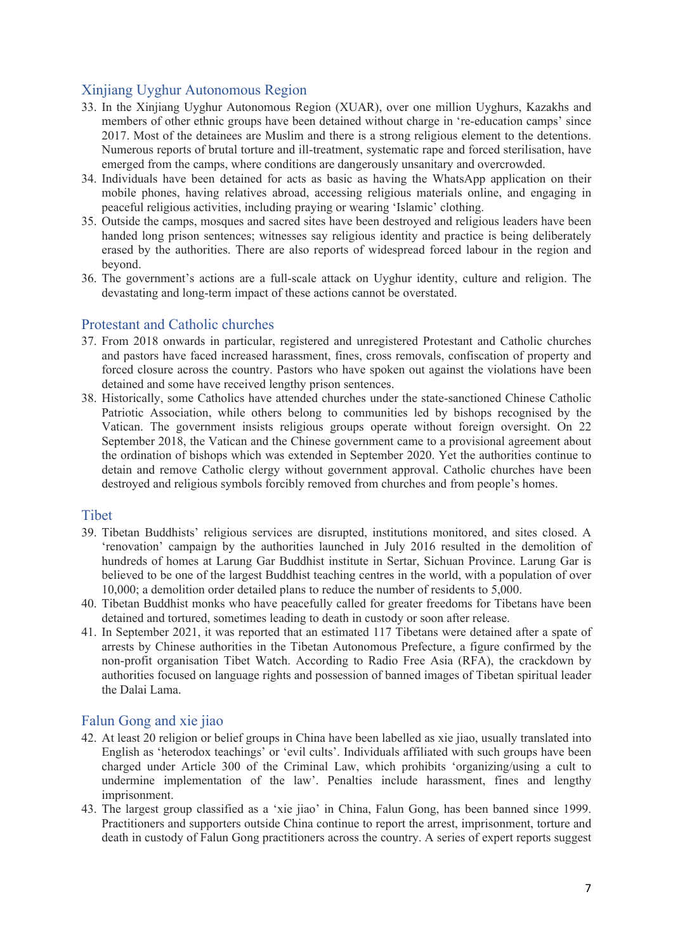# Xinjiang Uyghur Autonomous Region

- 33. In the Xinjiang Uyghur Autonomous Region (XUAR), over one million Uyghurs, Kazakhs and members of other ethnic groups have been detained without charge in 're-education camps' since 2017. Most of the detainees are Muslim and there is a strong religious element to the detentions. Numerous reports of brutal torture and ill-treatment, systematic rape and forced sterilisation, have emerged from the camps, where conditions are dangerously unsanitary and overcrowded.
- 34. Individuals have been detained for acts as basic as having the WhatsApp application on their mobile phones, having relatives abroad, accessing religious materials online, and engaging in peaceful religious activities, including praying or wearing 'Islamic' clothing.
- 35. Outside the camps, mosques and sacred sites have been destroyed and religious leaders have been handed long prison sentences; witnesses say religious identity and practice is being deliberately erased by the authorities. There are also reports of widespread forced labour in the region and beyond.
- 36. The government's actions are a full-scale attack on Uyghur identity, culture and religion. The devastating and long-term impact of these actions cannot be overstated.

### Protestant and Catholic churches

- 37. From 2018 onwards in particular, registered and unregistered Protestant and Catholic churches and pastors have faced increased harassment, fines, cross removals, confiscation of property and forced closure across the country. Pastors who have spoken out against the violations have been detained and some have received lengthy prison sentences.
- 38. Historically, some Catholics have attended churches under the state-sanctioned Chinese Catholic Patriotic Association, while others belong to communities led by bishops recognised by the Vatican. The government insists religious groups operate without foreign oversight. On 22 September 2018, the Vatican and the Chinese government came to a provisional agreement about the ordination of bishops which was extended in September 2020. Yet the authorities continue to detain and remove Catholic clergy without government approval. Catholic churches have been destroyed and religious symbols forcibly removed from churches and from people's homes.

#### **Tibet**

- 39. Tibetan Buddhists' religious services are disrupted, institutions monitored, and sites closed. A 'renovation' campaign by the authorities launched in July 2016 resulted in the demolition of hundreds of homes at Larung Gar Buddhist institute in Sertar, Sichuan Province. Larung Gar is believed to be one of the largest Buddhist teaching centres in the world, with a population of over 10,000; a demolition order detailed plans to reduce the number of residents to 5,000.
- 40. Tibetan Buddhist monks who have peacefully called for greater freedoms for Tibetans have been detained and tortured, sometimes leading to death in custody or soon after release.
- 41. In September 2021, it was reported that an estimated 117 Tibetans were detained after a spate of arrests by Chinese authorities in the Tibetan Autonomous Prefecture, a figure confirmed by the non-profit organisation Tibet Watch. According to Radio Free Asia (RFA), the crackdown by authorities focused on language rights and possession of banned images of Tibetan spiritual leader the Dalai Lama.

#### Falun Gong and xie jiao

- 42. At least 20 religion or belief groups in China have been labelled as xie jiao, usually translated into English as 'heterodox teachings' or 'evil cults'. Individuals affiliated with such groups have been charged under Article 300 of the Criminal Law, which prohibits 'organizing/using a cult to undermine implementation of the law'. Penalties include harassment, fines and lengthy imprisonment.
- 43. The largest group classified as a 'xie jiao' in China, Falun Gong, has been banned since 1999. Practitioners and supporters outside China continue to report the arrest, imprisonment, torture and death in custody of Falun Gong practitioners across the country. A series of expert reports suggest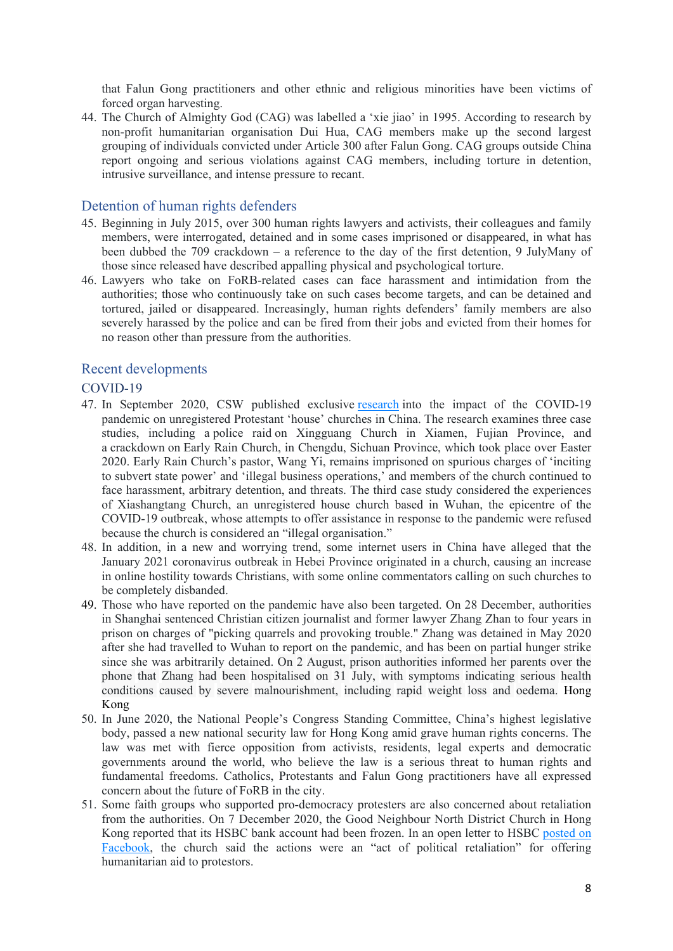that Falun Gong practitioners and other ethnic and religious minorities have been victims of forced organ harvesting.

44. The Church of Almighty God (CAG) was labelled a 'xie jiao' in 1995. According to research by non-profit humanitarian organisation Dui Hua, CAG members make up the second largest grouping of individuals convicted under Article 300 after Falun Gong. CAG groups outside China report ongoing and serious violations against CAG members, including torture in detention, intrusive surveillance, and intense pressure to recant.

#### Detention of human rights defenders

- 45. Beginning in July 2015, over 300 human rights lawyers and activists, their colleagues and family members, were interrogated, detained and in some cases imprisoned or disappeared, in what has been dubbed the 709 crackdown – a reference to the day of the first detention, 9 JulyMany of those since released have described appalling physical and psychological torture.
- 46. Lawyers who take on FoRB-related cases can face harassment and intimidation from the authorities; those who continuously take on such cases become targets, and can be detained and tortured, jailed or disappeared. Increasingly, human rights defenders' family members are also severely harassed by the police and can be fired from their jobs and evicted from their homes for no reason other than pressure from the authorities.

#### Recent developments

#### COVID-19

- 47. In September 2020, CSW published exclusive [research](https://www.csw.org.uk/2020/09/21/report/4811/article.htm) into the impact of the COVID-19 pandemic on unregistered Protestant 'house' churches in China. The research examines three case studies, including a police raid on Xingguang Church in Xiamen, Fujian Province, and a crackdown on Early Rain Church, in Chengdu, Sichuan Province, which took place over Easter 2020. Early Rain Church's pastor, Wang Yi, remains imprisoned on spurious charges of 'inciting to subvert state power' and 'illegal business operations,' and members of the church continued to face harassment, arbitrary detention, and threats. The third case study considered the experiences of Xiashangtang Church, an unregistered house church based in Wuhan, the epicentre of the COVID-19 outbreak, whose attempts to offer assistance in response to the pandemic were refused because the church is considered an "illegal organisation."
- 48. In addition, in a new and worrying trend, some internet users in China have alleged that the January 2021 coronavirus outbreak in Hebei Province originated in a church, causing an increase in online hostility towards Christians, with some online commentators calling on such churches to be completely disbanded.
- 49. Those who have reported on the pandemic have also been targeted. On 28 December, authorities in Shanghai sentenced Christian citizen journalist and former lawyer Zhang Zhan to four years in prison on charges of "picking quarrels and provoking trouble." Zhang was detained in May 2020 after she had travelled to Wuhan to report on the pandemic, and has been on partial hunger strike since she was arbitrarily detained. On 2 August, prison authorities informed her parents over the phone that Zhang had been hospitalised on 31 July, with symptoms indicating serious health conditions caused by severe malnourishment, including rapid weight loss and oedema. Hong Kong
- 50. In June 2020, the National People's Congress Standing Committee, China's highest legislative body, passed a new national security law for Hong Kong amid grave human rights concerns. The law was met with fierce opposition from activists, residents, legal experts and democratic governments around the world, who believe the law is a serious threat to human rights and fundamental freedoms. Catholics, Protestants and Falun Gong practitioners have all expressed concern about the future of FoRB in the city.
- 51. Some faith groups who supported pro-democracy protesters are also concerned about retaliation from the authorities. On 7 December 2020, the Good Neighbour North District Church in Hong Kong reported that its HSBC bank account had been frozen. In an open letter to HSBC posted on Facebook, the church said the actions were an "act of political retaliation" for offering humanitarian aid to protestors.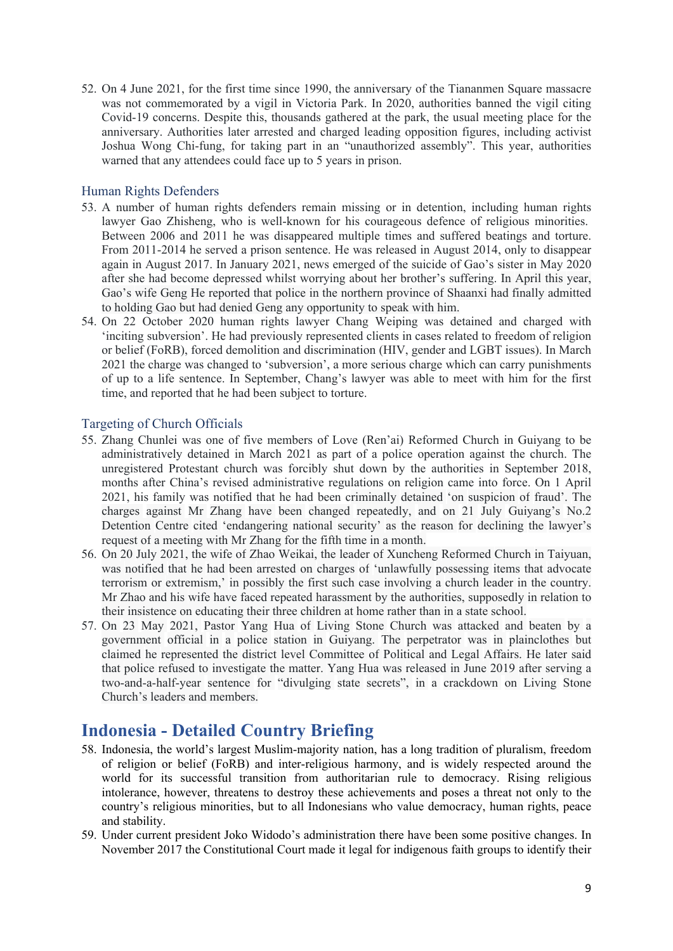52. On 4 June 2021, for the first time since 1990, the anniversary of the Tiananmen Square massacre was not commemorated by a vigil in Victoria Park. In 2020, authorities banned the vigil citing Covid-19 concerns. Despite this, thousands gathered at the park, the usual meeting place for the anniversary. Authorities later arrested and charged leading opposition figures, including activist Joshua Wong Chi-fung, for taking part in an "unauthorized assembly". This year, authorities warned that any attendees could face up to 5 years in prison.

#### Human Rights Defenders

- 53. A number of human rights defenders remain missing or in detention, including human rights lawyer Gao Zhisheng, who is well-known for his courageous defence of religious minorities. Between 2006 and 2011 he was disappeared multiple times and suffered beatings and torture. From 2011-2014 he served a prison sentence. He was released in August 2014, only to disappear again in August 2017. In January 2021, news emerged of the suicide of Gao's sister in May 2020 after she had become depressed whilst worrying about her brother's suffering. In April this year, Gao's wife Geng He reported that police in the northern province of Shaanxi had finally admitted to holding Gao but had denied Geng any opportunity to speak with him.
- 54. On 22 October 2020 human rights lawyer Chang Weiping was detained and charged with 'inciting subversion'. He had previously represented clients in cases related to freedom of religion or belief (FoRB), forced demolition and discrimination (HIV, gender and LGBT issues). In March 2021 the charge was changed to 'subversion', a more serious charge which can carry punishments of up to a life sentence. In September, Chang's lawyer was able to meet with him for the first time, and reported that he had been subject to torture.

#### Targeting of Church Officials

- 55. Zhang Chunlei was one of five members of Love (Ren'ai) Reformed Church in Guiyang to be administratively detained in March 2021 as part of a police operation against the church. The unregistered Protestant church was forcibly shut down by the authorities in September 2018, months after China's revised administrative regulations on religion came into force. On 1 April 2021, his family was notified that he had been criminally detained 'on suspicion of fraud'. The charges against Mr Zhang have been changed repeatedly, and on 21 July Guiyang's No.2 Detention Centre cited 'endangering national security' as the reason for declining the lawyer's request of a meeting with Mr Zhang for the fifth time in a month.
- 56. On 20 July 2021, the wife of Zhao Weikai, the leader of Xuncheng Reformed Church in Taiyuan, was notified that he had been arrested on charges of 'unlawfully possessing items that advocate terrorism or extremism,' in possibly the first such case involving a church leader in the country. Mr Zhao and his wife have faced repeated harassment by the authorities, supposedly in relation to their insistence on educating their three children at home rather than in a state school.
- 57. On 23 May 2021, Pastor Yang Hua of Living Stone Church was attacked and beaten by a government official in a police station in Guiyang. The perpetrator was in plainclothes but claimed he represented the district level Committee of Political and Legal Affairs. He later said that police refused to investigate the matter. Yang Hua was released in June 2019 after serving a two-and-a-half-year sentence for "divulging state secrets", in a crackdown on Living Stone Church's leaders and members.

# **Indonesia - Detailed Country Briefing**

- 58. Indonesia, the world's largest Muslim-majority nation, has a long tradition of pluralism, freedom of religion or belief (FoRB) and inter-religious harmony, and is widely respected around the world for its successful transition from authoritarian rule to democracy. Rising religious intolerance, however, threatens to destroy these achievements and poses a threat not only to the country's religious minorities, but to all Indonesians who value democracy, human rights, peace and stability.
- 59. Under current president Joko Widodo's administration there have been some positive changes. In November 2017 the Constitutional Court made it legal for indigenous faith groups to identify their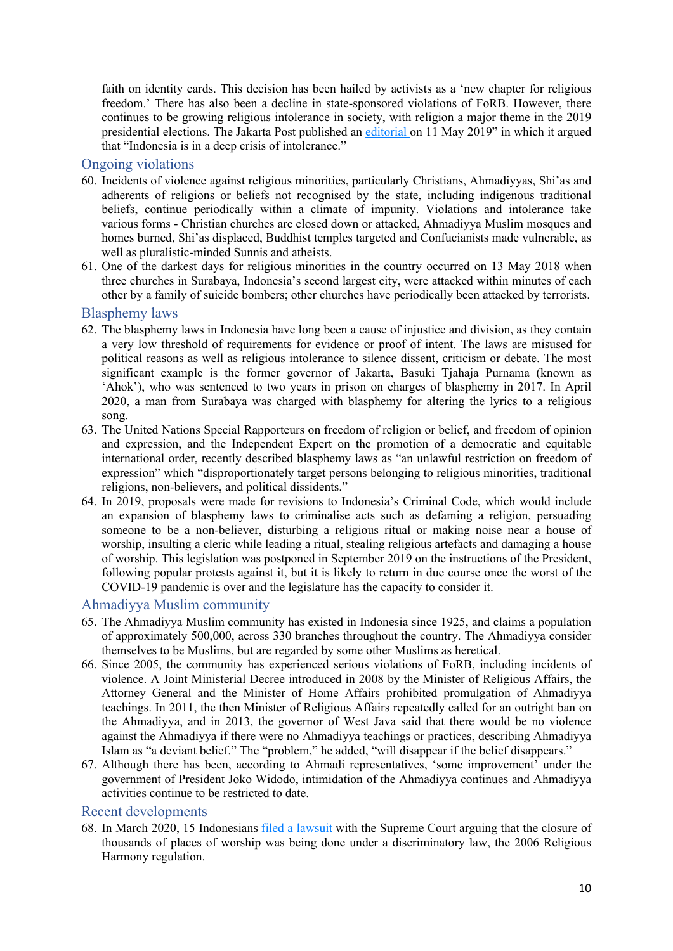faith on identity cards. This decision has been hailed by activists as a 'new chapter for religious freedom.' There has also been a decline in state-sponsored violations of FoRB. However, there continues to be growing religious intolerance in society, with religion a major theme in the 2019 presidential elections. The Jakarta Post published an [editorial](https://www.thejakartapost.com/academia/2019/05/11/intolerance-crisis.html) [o](https://www.thejakartapost.com/academia/2019/05/11/intolerance-crisis.html)n 11 May 2019" in which it argued that "Indonesia is in a deep crisis of intolerance."

#### Ongoing violations

- 60. Incidents of violence against religious minorities, particularly Christians, Ahmadiyyas, Shi'as and adherents of religions or beliefs not recognised by the state, including indigenous traditional beliefs, continue periodically within a climate of impunity. Violations and intolerance take various forms - Christian churches are closed down or attacked, Ahmadiyya Muslim mosques and homes burned, Shi'as displaced, Buddhist temples targeted and Confucianists made vulnerable, as well as pluralistic-minded Sunnis and atheists.
- 61. One of the darkest days for religious minorities in the country occurred on 13 May 2018 when three churches in Surabaya, Indonesia's second largest city, were attacked within minutes of each other by a family of suicide bombers; other churches have periodically been attacked by terrorists.

#### Blasphemy laws

- 62. The blasphemy laws in Indonesia have long been a cause of injustice and division, as they contain a very low threshold of requirements for evidence or proof of intent. The laws are misused for political reasons as well as religious intolerance to silence dissent, criticism or debate. The most significant example is the former governor of Jakarta, Basuki Tjahaja Purnama (known as 'Ahok'), who was sentenced to two years in prison on charges of blasphemy in 2017. In April 2020, a man from Surabaya was charged with blasphemy for altering the lyrics to a religious song.
- 63. The United Nations Special Rapporteurs on freedom of religion or belief, and freedom of opinion and expression, and the Independent Expert on the promotion of a democratic and equitable international order, recently described blasphemy laws as "an unlawful restriction on freedom of expression" which "disproportionately target persons belonging to religious minorities, traditional religions, non-believers, and political dissidents."
- 64. In 2019, proposals were made for revisions to Indonesia's Criminal Code, which would include an expansion of blasphemy laws to criminalise acts such as defaming a religion, persuading someone to be a non-believer, disturbing a religious ritual or making noise near a house of worship, insulting a cleric while leading a ritual, stealing religious artefacts and damaging a house of worship. This legislation was postponed in September 2019 on the instructions of the President, following popular protests against it, but it is likely to return in due course once the worst of the COVID-19 pandemic is over and the legislature has the capacity to consider it.

#### Ahmadiyya Muslim community

- 65. The Ahmadiyya Muslim community has existed in Indonesia since 1925, and claims a population of approximately 500,000, across 330 branches throughout the country. The Ahmadiyya consider themselves to be Muslims, but are regarded by some other Muslims as heretical.
- 66. Since 2005, the community has experienced serious violations of FoRB, including incidents of violence. A Joint Ministerial Decree introduced in 2008 by the Minister of Religious Affairs, the Attorney General and the Minister of Home Affairs prohibited promulgation of Ahmadiyya teachings. In 2011, the then Minister of Religious Affairs repeatedly called for an outright ban on the Ahmadiyya, and in 2013, the governor of West Java said that there would be no violence against the Ahmadiyya if there were no Ahmadiyya teachings or practices, describing Ahmadiyya Islam as "a deviant belief." The "problem," he added, "will disappear if the belief disappears."
- 67. Although there has been, according to Ahmadi representatives, 'some improvement' under the government of President Joko Widodo, intimidation of the Ahmadiyya continues and Ahmadiyya activities continue to be restricted to date.

#### Recent developments

68. In March 2020, 15 Indonesians [filed](https://twitter.com/andreasharsono/status/1235707989459337216) [a](https://twitter.com/andreasharsono/status/1235707989459337216) [lawsuit](https://twitter.com/andreasharsono/status/1235707989459337216) with the Supreme Court arguing that the closure of thousands of places of worship was being done under a discriminatory law, the 2006 Religious Harmony regulation.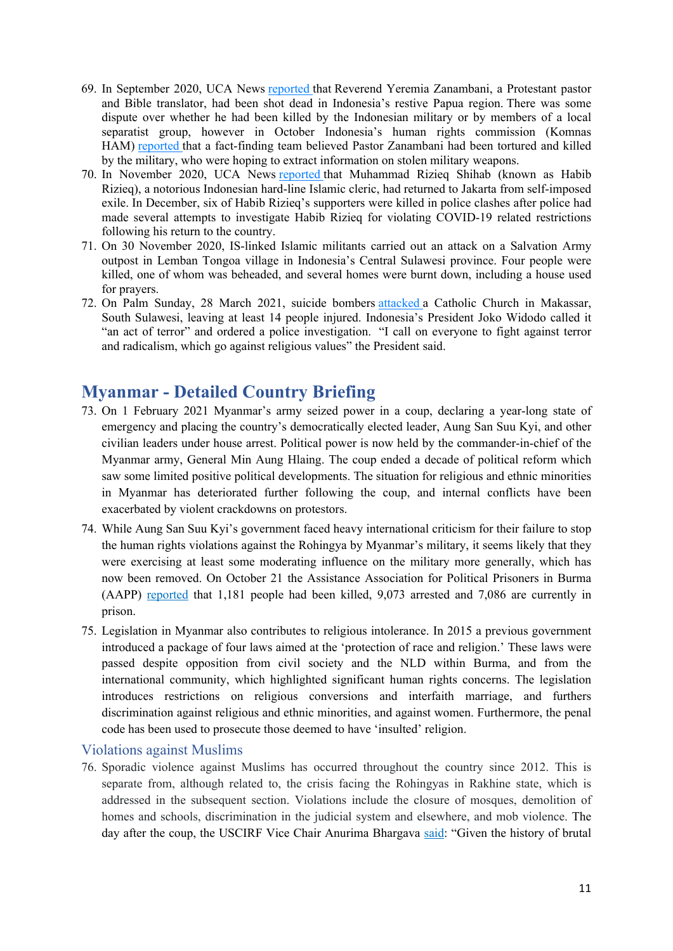- 69. In September 2020, UCA News [reported](https://www.ucanews.com/news/protestant-pastor-shot-dead-in-indonesia/89597) [t](https://www.ucanews.com/news/protestant-pastor-shot-dead-in-indonesia/89597)hat Reverend Yeremia Zanambani, a Protestant pastor and Bible translator, had been shot dead in Indonesia's restive Papua region. There was some dispute over whether he had been killed by the Indonesian military or by members of a local separatist group, however in October Indonesia's human rights commission (Komnas HAM) [reported](https://www.cnnindonesia.com/nasional/20201029125036-20-563926/investigasi-tim-kemanusiaan-pendeta-yeremia-ditembak-tni) that a fact-finding team believed Pastor Zanambani had been tortured and killed by the military, who were hoping to extract information on stolen military weapons.
- 70. In November 2020, UCA News [reported](https://www.https/www.ucanews.com/news/hardline-cleric-returns-from-exile-to-indonesia/90240) that Muhammad Rizieq Shihab (known as Habib Rizieq), a notorious Indonesian hard-line Islamic cleric, had returned to Jakarta from self-imposed exile. In December, six of Habib Rizieq's supporters were killed in police clashes after police had made several attempts to investigate Habib Rizieq for violating COVID-19 related restrictions following his return to the country.
- 71. On 30 November 2020, IS-linked Islamic militants carried out an attack on a Salvation Army outpost in Lemban Tongoa village in Indonesia's Central Sulawesi province. Four people were killed, one of whom was beheaded, and several homes were burnt down, including a house used for prayers.
- 72. On Palm Sunday, 28 March 2021, suicide bombers [attacked](https://www.https/www.bbc.co.uk/news/world-asia-56553790) a Catholic Church in Makassar, South Sulawesi, leaving at least 14 people injured. Indonesia's President Joko Widodo called it "an act of terror" and ordered a police investigation. "I call on everyone to fight against terror and radicalism, which go against religious values" the President said.

# **Myanmar - Detailed Country Briefing**

- 73. On 1 February 2021 Myanmar's army seized power in a coup, declaring a year-long state of emergency and placing the country's democratically elected leader, Aung San Suu Kyi, and other civilian leaders under house arrest. Political power is now held by the commander-in-chief of the Myanmar army, General Min Aung Hlaing. The coup ended a decade of political reform which saw some limited positive political developments. The situation for religious and ethnic minorities in Myanmar has deteriorated further following the coup, and internal conflicts have been exacerbated by violent crackdowns on protestors.
- 74. While Aung San Suu Kyi's government faced heavy international criticism for their failure to stop the human rights violations against the Rohingya by Myanmar's military, it seems likely that they were exercising at least some moderating influence on the military more generally, which has now been removed. On October 21 the Assistance Association for Political Prisoners in Burma (AAPP) [reported](https://twitter.com/aapp_burma/status/1450816509182312449) that 1,181 people had been killed, 9,073 arrested and 7,086 are currently in prison.
- 75. Legislation in Myanmar also contributes to religious intolerance. In 2015 a previous government introduced a package of four laws aimed at the 'protection of race and religion.' These laws were passed despite opposition from civil society and the NLD within Burma, and from the international community, which highlighted significant human rights concerns. The legislation introduces restrictions on religious conversions and interfaith marriage, and furthers discrimination against religious and ethnic minorities, and against women. Furthermore, the penal code has been used to prosecute those deemed to have 'insulted' religion.

#### Violations against Muslims

76. Sporadic violence against Muslims has occurred throughout the country since 2012. This is separate from, although related to, the crisis facing the Rohingyas in Rakhine state, which is addressed in the subsequent section. Violations include the closure of mosques, demolition of homes and schools, discrimination in the judicial system and elsewhere, and mob violence. The day after the coup, the USCIRF Vice Chair Anurima Bhargava [said:](https://www.uscirf.gov/news-room/releases-statements/uscirf-worried-about-violence-against-rohingya-and-other-religious) "Given the history of brutal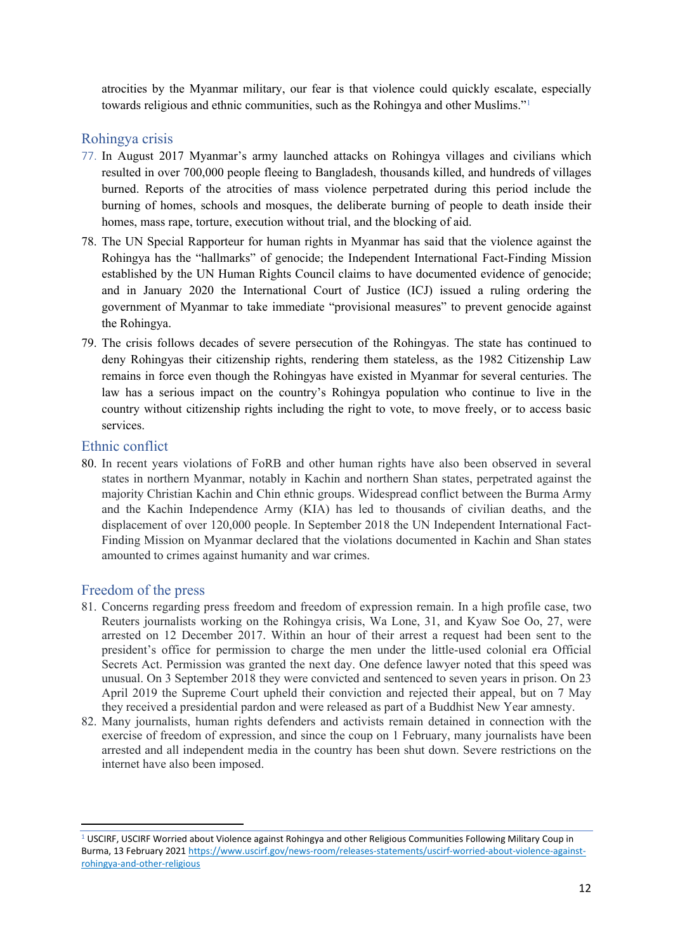atrocities by the Myanmar military, our fear is that violence could quickly escalate, especially towards religious and ethnic communities, such as the Rohingya and other Muslims."<sup>1</sup>

#### Rohingya crisis

- 77. In August 2017 Myanmar's army launched attacks on Rohingya villages and civilians which resulted in over 700,000 people fleeing to Bangladesh, thousands killed, and hundreds of villages burned. Reports of the atrocities of mass violence perpetrated during this period include the burning of homes, schools and mosques, the deliberate burning of people to death inside their homes, mass rape, torture, execution without trial, and the blocking of aid.
- 78. The UN Special Rapporteur for human rights in Myanmar has said that the violence against the Rohingya has the "hallmarks" of genocide; the Independent International Fact-Finding Mission established by the UN Human Rights Council claims to have documented evidence of genocide; and in January 2020 the International Court of Justice (ICJ) issued a ruling ordering the government of Myanmar to take immediate "provisional measures" to prevent genocide against the Rohingya.
- 79. The crisis follows decades of severe persecution of the Rohingyas. The state has continued to deny Rohingyas their citizenship rights, rendering them stateless, as the 1982 Citizenship Law remains in force even though the Rohingyas have existed in Myanmar for several centuries. The law has a serious impact on the country's Rohingya population who continue to live in the country without citizenship rights including the right to vote, to move freely, or to access basic services.

### Ethnic conflict

80. In recent years violations of FoRB and other human rights have also been observed in several states in northern Myanmar, notably in Kachin and northern Shan states, perpetrated against the majority Christian Kachin and Chin ethnic groups. Widespread conflict between the Burma Army and the Kachin Independence Army (KIA) has led to thousands of civilian deaths, and the displacement of over 120,000 people. In September 2018 the UN Independent International Fact-Finding Mission on Myanmar declared that the violations documented in Kachin and Shan states amounted to crimes against humanity and war crimes.

### Freedom of the press

- 81. Concerns regarding press freedom and freedom of expression remain. In a high profile case, two Reuters journalists working on the Rohingya crisis, Wa Lone, 31, and Kyaw Soe Oo, 27, were arrested on 12 December 2017. Within an hour of their arrest a request had been sent to the president's office for permission to charge the men under the little-used colonial era Official Secrets Act. Permission was granted the next day. One defence lawyer noted that this speed was unusual. On 3 September 2018 they were convicted and sentenced to seven years in prison. On 23 April 2019 the Supreme Court upheld their conviction and rejected their appeal, but on 7 May they received a presidential pardon and were released as part of a Buddhist New Year amnesty.
- 82. Many journalists, human rights defenders and activists remain detained in connection with the exercise of freedom of expression, and since the coup on 1 February, many journalists have been arrested and all independent media in the country has been shut down. Severe restrictions on the internet have also been imposed.

<sup>1</sup> USCIRF, USCIRF Worried about Violence against Rohingya and other Religious Communities Following Military Coup in Burma, 13 February 2021 [https://www.uscirf.gov/news-room/releases-statements/uscirf-worried-about-violence-against](https://www.uscirf.gov/news-room/releases-statements/uscirf-worried-about-violence-against-rohingya-and-other-religious)[rohingya-and-other-religious](https://www.uscirf.gov/news-room/releases-statements/uscirf-worried-about-violence-against-rohingya-and-other-religious)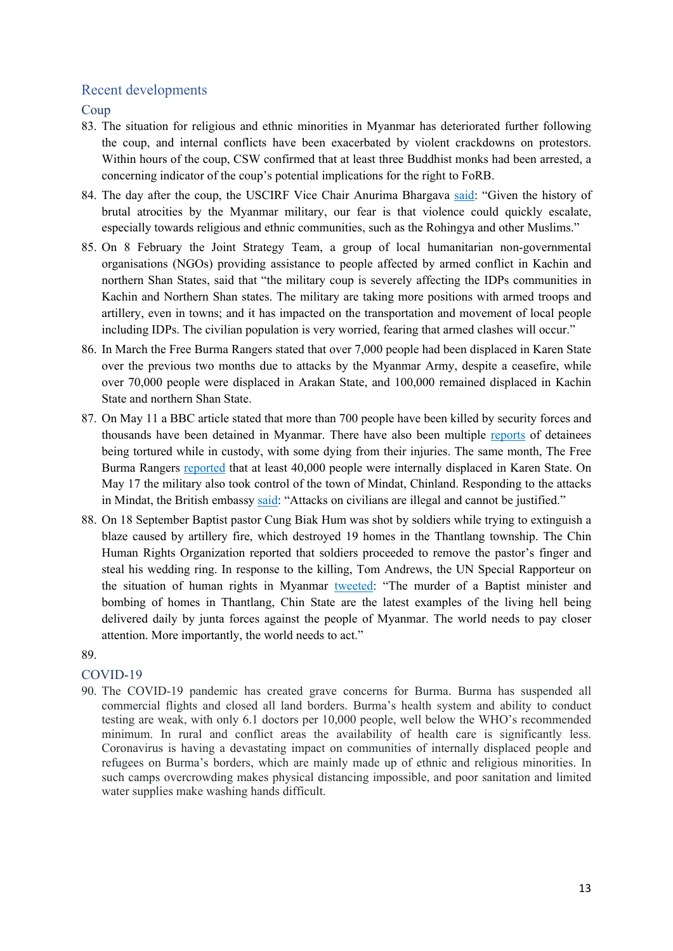## Recent developments

Coup

- 83. The situation for religious and ethnic minorities in Myanmar has deteriorated further following the coup, and internal conflicts have been exacerbated by violent crackdowns on protestors. Within hours of the coup, CSW confirmed that at least three Buddhist monks had been arrested, a concerning indicator of the coup's potential implications for the right to FoRB.
- 84. The day after the coup, the USCIRF Vice Chair Anurima Bhargava [said:](https://www.uscirf.gov/news-room/releases-statements/uscirf-worried-about-violence-against-rohingya-and-other-religious) "Given the history of brutal atrocities by the Myanmar military, our fear is that violence could quickly escalate, especially towards religious and ethnic communities, such as the Rohingya and other Muslims."
- 85. On 8 February the Joint Strategy Team, a group of local humanitarian non-governmental organisations (NGOs) providing assistance to people affected by armed conflict in Kachin and northern Shan States, said that "the military coup is severely affecting the IDPs communities in Kachin and Northern Shan states. The military are taking more positions with armed troops and artillery, even in towns; and it has impacted on the transportation and movement of local people including IDPs. The civilian population is very worried, fearing that armed clashes will occur."
- 86. In March the Free Burma Rangers stated that over 7,000 people had been displaced in Karen State over the previous two months due to attacks by the Myanmar Army, despite a ceasefire, while over 70,000 people were displaced in Arakan State, and 100,000 remained displaced in Kachin State and northern Shan State.
- 87. On May 11 a BBC article stated that more than 700 people have been killed by security forces and thousands have been detained in Myanmar. There have also been multiple [reports](https://www.bbc.co.uk/news/world-asia-india-57067130) of detainees being tortured while in custody, with some dying from their injuries. The same month, The Free Burma Rangers [reported](https://www.freeburmarangers.org/2021/05/11/interview-with-grandmother-on-the-run-and-update-on-burma-army-attacks/) that at least 40,000 people were internally displaced in Karen State. On May 17 the military also took control of the town of Mindat, Chinland. Responding to the attacks in Mindat, the British embassy [said:](https://www.bbc.co.uk/news/world-asia-57134964) "Attacks on civilians are illegal and cannot be justified."
- 88. On 18 September Baptist pastor Cung Biak Hum was shot by soldiers while trying to extinguish a blaze caused by artillery fire, which destroyed 19 homes in the Thantlang township. The Chin Human Rights Organization reported that soldiers proceeded to remove the pastor's finger and steal his wedding ring. In response to the killing, Tom Andrews, the UN Special Rapporteur on the situation of human rights in Myanmar [tweeted](https://twitter.com/RapporteurUn/status/1439284649860255746): "The murder of a Baptist minister and bombing of homes in Thantlang, Chin State are the latest examples of the living hell being delivered daily by junta forces against the people of Myanmar. The world needs to pay closer attention. More importantly, the world needs to act."

#### 89.

#### COVID-19

90. The COVID-19 pandemic has created grave concerns for Burma. Burma has suspended all commercial flights and closed all land borders. Burma's health system and ability to conduct testing are weak, with only 6.1 doctors per 10,000 people, well below the WHO's recommended minimum. In rural and conflict areas the availability of health care is significantly less. Coronavirus is having a devastating impact on communities of internally displaced people and refugees on Burma's borders, which are mainly made up of ethnic and religious minorities. In such camps overcrowding makes physical distancing impossible, and poor sanitation and limited water supplies make washing hands difficult.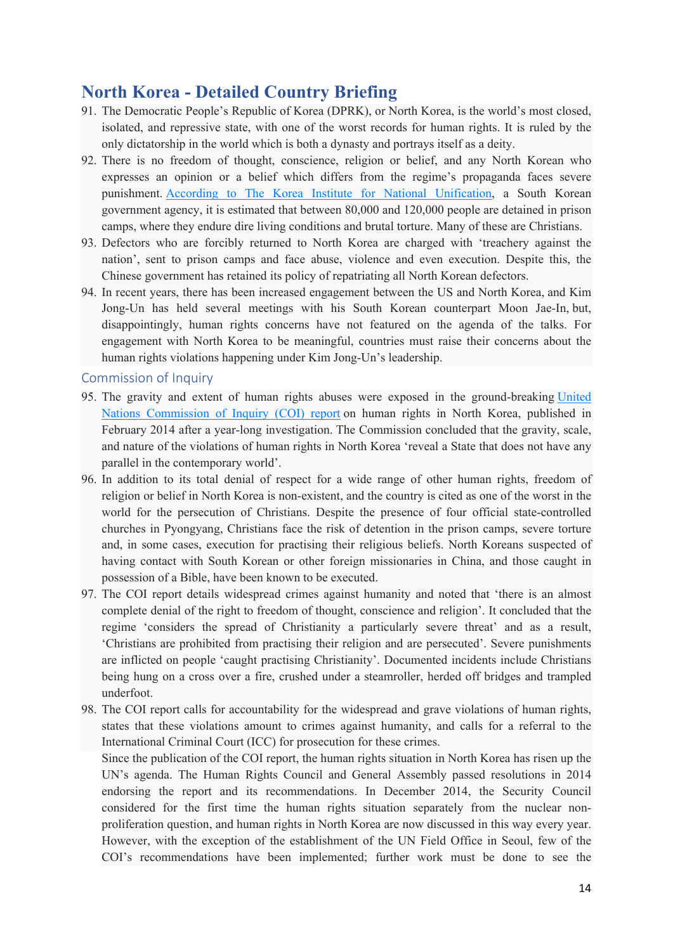# **North Korea - Detailed Country Briefing**

- 91. The Democratic People's Republic of Korea (DPRK), or North Korea, is the world's most closed, isolated, and repressive state, with one of the worst records for human rights. It is ruled by the only dictatorship in the world which is both a dynasty and portrays itself as a deity.
- 92. There is no freedom of thought, conscience, religion or belief, and any North Korean who expresses an opinion or a belief which differs from the regime's propaganda faces severe punishment. [According](https://www.bbc.co.uk/news/world-asia-44069749) [to](https://www.bbc.co.uk/news/world-asia-44069749) [The](https://www.bbc.co.uk/news/world-asia-44069749) [Korea](https://www.bbc.co.uk/news/world-asia-44069749) [Institute](https://www.bbc.co.uk/news/world-asia-44069749) [for](https://www.bbc.co.uk/news/world-asia-44069749) [National](https://www.bbc.co.uk/news/world-asia-44069749) [Unification](https://www.bbc.co.uk/news/world-asia-44069749), a South Korean government agency, it is estimated that between 80,000 and 120,000 people are detained in prison camps, where they endure dire living conditions and brutal torture. Many of these are Christians.
- 93. Defectors who are forcibly returned to North Korea are charged with 'treachery against the nation', sent to prison camps and face abuse, violence and even execution. Despite this, the Chinese government has retained its policy of repatriating all North Korean defectors.
- 94. In recent years, there has been increased engagement between the US and North Korea, and Kim Jong-Un has held several meetings with his South Korean counterpart Moon Jae-In, but, disappointingly, human rights concerns have not featured on the agenda of the talks. For engagement with North Korea to be meaningful, countries must raise their concerns about the human rights violations happening under Kim Jong-Un's leadership.

#### Commission of Inquiry

- 95. The gravity and extent of human rights abuses were exposed in the ground-breaking [United](https://www.ohchr.org/en/hrbodies/hrc/coidprk/pages/reportofthecommissionofinquirydprk.aspx) [Nations](https://www.ohchr.org/en/hrbodies/hrc/coidprk/pages/reportofthecommissionofinquirydprk.aspx) [Commission](https://www.ohchr.org/en/hrbodies/hrc/coidprk/pages/reportofthecommissionofinquirydprk.aspx) [of](https://www.ohchr.org/en/hrbodies/hrc/coidprk/pages/reportofthecommissionofinquirydprk.aspx) [Inquiry](https://www.ohchr.org/en/hrbodies/hrc/coidprk/pages/reportofthecommissionofinquirydprk.aspx) [\(COI\)](https://www.ohchr.org/en/hrbodies/hrc/coidprk/pages/reportofthecommissionofinquirydprk.aspx) [report](https://www.ohchr.org/en/hrbodies/hrc/coidprk/pages/reportofthecommissionofinquirydprk.aspx) on human rights in North Korea, published in February 2014 after a year-long investigation. The Commission concluded that the gravity, scale, and nature of the violations of human rights in North Korea 'reveal a State that does not have any parallel in the contemporary world'.
- 96. In addition to its total denial of respect for a wide range of other human rights, freedom of religion or belief in North Korea is non-existent, and the country is cited as one of the worst in the world for the persecution of Christians. Despite the presence of four official state-controlled churches in Pyongyang, Christians face the risk of detention in the prison camps, severe torture and, in some cases, execution for practising their religious beliefs. North Koreans suspected of having contact with South Korean or other foreign missionaries in China, and those caught in possession of a Bible, have been known to be executed.
- 97. The COI report details widespread crimes against humanity and noted that 'there is an almost complete denial of the right to freedom of thought, conscience and religion'. It concluded that the regime 'considers the spread of Christianity a particularly severe threat' and as a result, 'Christians are prohibited from practising their religion and are persecuted'. Severe punishments are inflicted on people 'caught practising Christianity'. Documented incidents include Christians being hung on a cross over a fire, crushed under a steamroller, herded off bridges and trampled underfoot.
- 98. The COI report calls for accountability for the widespread and grave violations of human rights, states that these violations amount to crimes against humanity, and calls for a referral to the International Criminal Court (ICC) for prosecution for these crimes.

Since the publication of the COI report, the human rights situation in North Korea has risen up the UN's agenda. The Human Rights Council and General Assembly passed resolutions in 2014 endorsing the report and its recommendations. In December 2014, the Security Council considered for the first time the human rights situation separately from the nuclear nonproliferation question, and human rights in North Korea are now discussed in this way every year. However, with the exception of the establishment of the UN Field Office in Seoul, few of the COI's recommendations have been implemented; further work must be done to see the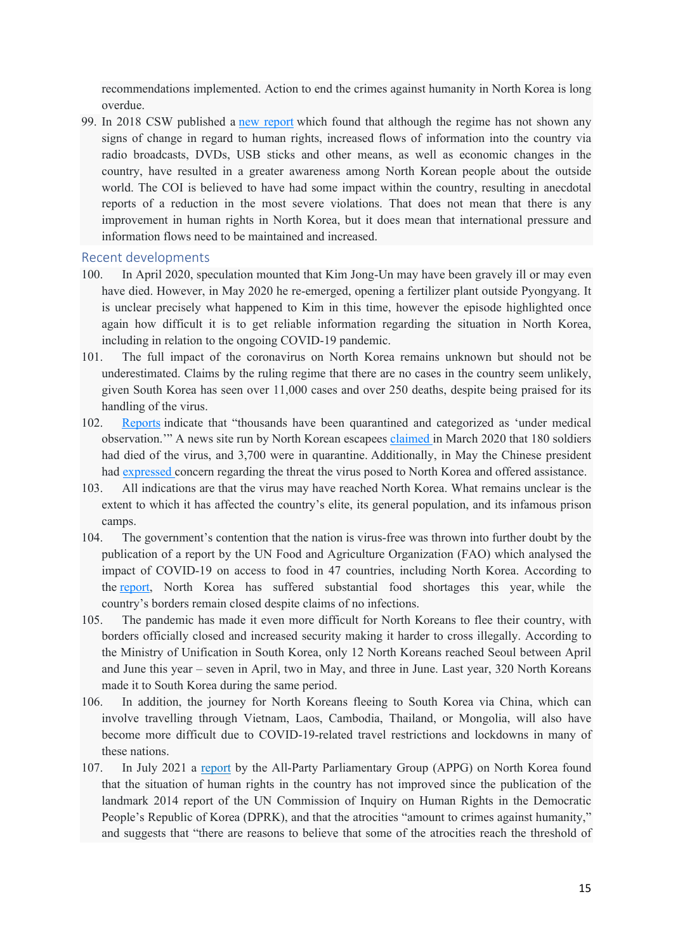recommendations implemented. Action to end the crimes against humanity in North Korea is long overdue.

99. In 2018 CSW published a [new](https://www.csw.org.uk/2018/01/31/report/3832/article.htm) [report](https://www.csw.org.uk/2018/01/31/report/3832/article.htm) which found that although the regime has not shown any signs of change in regard to human rights, increased flows of information into the country via radio broadcasts, DVDs, USB sticks and other means, as well as economic changes in the country, have resulted in a greater awareness among North Korean people about the outside world. The COI is believed to have had some impact within the country, resulting in anecdotal reports of a reduction in the most severe violations. That does not mean that there is any improvement in human rights in North Korea, but it does mean that international pressure and information flows need to be maintained and increased.

#### Recent developments

- 100. In April 2020, speculation mounted that Kim Jong-Un may have been gravely ill or may even have died. However, in May 2020 he re-emerged, opening a fertilizer plant outside Pyongyang. It is unclear precisely what happened to Kim in this time, however the episode highlighted once again how difficult it is to get reliable information regarding the situation in North Korea, including in relation to the ongoing COVID-19 pandemic.
- 101. The full impact of the coronavirus on North Korea remains unknown but should not be underestimated. Claims by the ruling regime that there are no cases in the country seem unlikely, given South Korea has seen over 11,000 cases and over 250 deaths, despite being praised for its handling of the virus.
- 102. [Reports](https://www.https/www.thetablet.co.uk/blogs/1/1441/north-korea-s-deadly-culture-of-secrecy) indicate that "thousands have been quarantined and categorized as 'under medical observation.'" A news site run by North Korean escapees [claimed](https://www.https/www.dailynk.com/english/sources-almost-200-soldiers-have-died-covid-19/) in March 2020 that 180 soldiers had died of the virus, and 3,700 were in quarantine. Additionally, in May the Chinese president had [expressed](https://www.bbc.co.uk/news/world-asia-52597749) [c](https://www.bbc.co.uk/news/world-asia-52597749)oncern regarding the threat the virus posed to North Korea and offered assistance.
- 103. All indications are that the virus may have reached North Korea. What remains unclear is the extent to which it has affected the country's elite, its general population, and its infamous prison camps.
- 104. The government's contention that the nation is virus-free was thrown into further doubt by the publication of a report by the UN Food and Agriculture Organization (FAO) which analysed the impact of COVID-19 on access to food in 47 countries, including North Korea. According to the [report](https://www.http/www.fao.org/3/cb0209en/CB0209EN.pdf), North Korea has suffered substantial food shortages this year, while the country's borders remain closed despite claims of no infections.
- 105. The pandemic has made it even more difficult for North Koreans to flee their country, with borders officially closed and increased security making it harder to cross illegally. According to the Ministry of Unification in South Korea, only 12 North Koreans reached Seoul between April and June this year – seven in April, two in May, and three in June. Last year, 320 North Koreans made it to South Korea during the same period.
- 106. In addition, the journey for North Koreans fleeing to South Korea via China, which can involve travelling through Vietnam, Laos, Cambodia, Thailand, or Mongolia, will also have become more difficult due to COVID-19-related travel restrictions and lockdowns in many of these nations.
- 107. In July 2021 a [report](https://b64a88a3-b1cd-4d11-8279-50610a8df584.filesusr.com/ugd/897883_e29ba84cd0fc4c92a2de7182050f9e11.pdf) by the All-Party Parliamentary Group (APPG) on North Korea found that the situation of human rights in the country has not improved since the publication of the landmark 2014 report of the UN Commission of Inquiry on Human Rights in the Democratic People's Republic of Korea (DPRK), and that the atrocities "amount to crimes against humanity," and suggests that "there are reasons to believe that some of the atrocities reach the threshold of